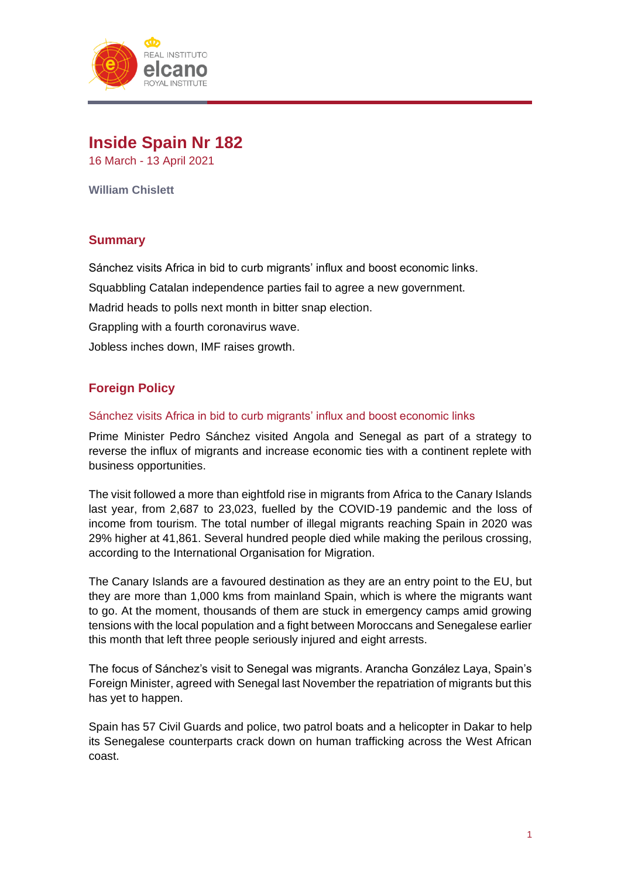

# **Inside Spain Nr 182**

16 March - 13 April 2021

**William Chislett**

# **Summary**

Sánchez visits Africa in bid to curb migrants' influx and boost economic links.

Squabbling Catalan independence parties fail to agree a new government.

Madrid heads to polls next month in bitter snap election.

Grappling with a fourth coronavirus wave.

Jobless inches down, IMF raises growth.

# **Foreign Policy**

#### Sánchez visits Africa in bid to curb migrants' influx and boost economic links

Prime Minister Pedro Sánchez visited Angola and Senegal as part of a strategy to reverse the influx of migrants and increase economic ties with a continent replete with business opportunities.

The visit followed a more than eightfold rise in migrants from Africa to the Canary Islands last year, from 2,687 to 23,023, fuelled by the COVID-19 pandemic and the loss of income from tourism. The total number of illegal migrants reaching Spain in 2020 was 29% higher at 41,861. Several hundred people died while making the perilous crossing, according to the International Organisation for Migration.

The Canary Islands are a favoured destination as they are an entry point to the EU, but they are more than 1,000 kms from mainland Spain, which is where the migrants want to go. At the moment, thousands of them are stuck in emergency camps amid growing tensions with the local population and a fight between Moroccans and Senegalese earlier this month that left three people seriously injured and eight arrests.

The focus of Sánchez's visit to Senegal was migrants. Arancha González Laya, Spain's Foreign Minister, agreed with Senegal last November the repatriation of migrants but this has yet to happen.

Spain has 57 Civil Guards and police, two patrol boats and a helicopter in Dakar to help its Senegalese counterparts crack down on human trafficking across the West African coast.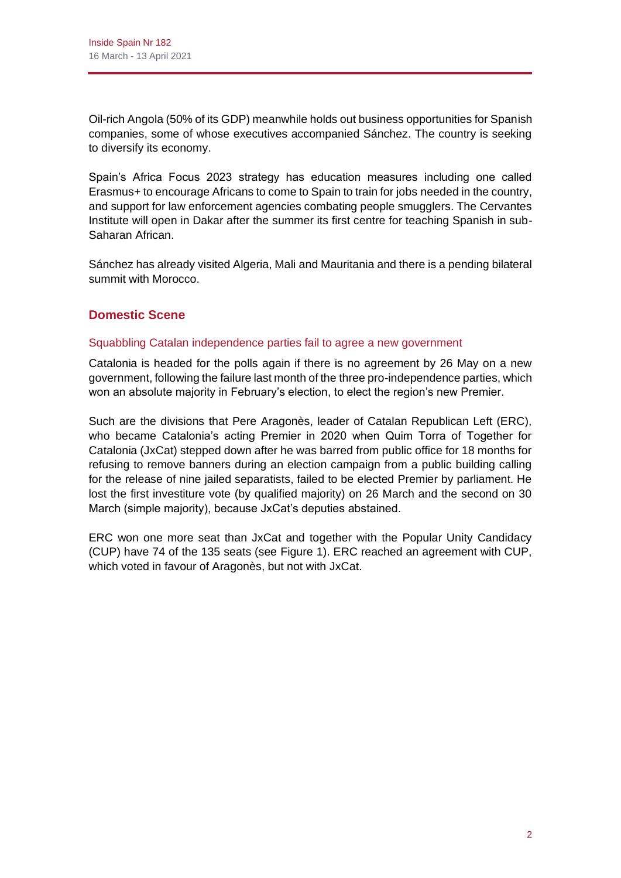Oil-rich Angola (50% of its GDP) meanwhile holds out business opportunities for Spanish companies, some of whose executives accompanied Sánchez. The country is seeking to diversify its economy.

Spain's Africa Focus 2023 strategy has education measures including one called Erasmus+ to encourage Africans to come to Spain to train for jobs needed in the country, and support for law enforcement agencies combating people smugglers. The Cervantes Institute will open in Dakar after the summer its first centre for teaching Spanish in sub-Saharan African.

Sánchez has already visited Algeria, Mali and Mauritania and there is a pending bilateral summit with Morocco.

# **Domestic Scene**

# Squabbling Catalan independence parties fail to agree a new government

Catalonia is headed for the polls again if there is no agreement by 26 May on a new government, following the failure last month of the three pro-independence parties, which won an absolute majority in February's election, to elect the region's new Premier.

Such are the divisions that Pere Aragonès, leader of Catalan Republican Left (ERC), who became Catalonia's acting Premier in 2020 when Quim Torra of Together for Catalonia (JxCat) stepped down after he was barred from public office for 18 months for refusing to remove banners during an election campaign from a public building calling for the release of nine jailed separatists, failed to be elected Premier by parliament. He lost the first investiture vote (by qualified majority) on 26 March and the second on 30 March (simple majority), because JxCat's deputies abstained.

ERC won one more seat than JxCat and together with the Popular Unity Candidacy (CUP) have 74 of the 135 seats (see Figure 1). ERC reached an agreement with CUP, which voted in favour of Aragonès, but not with JxCat.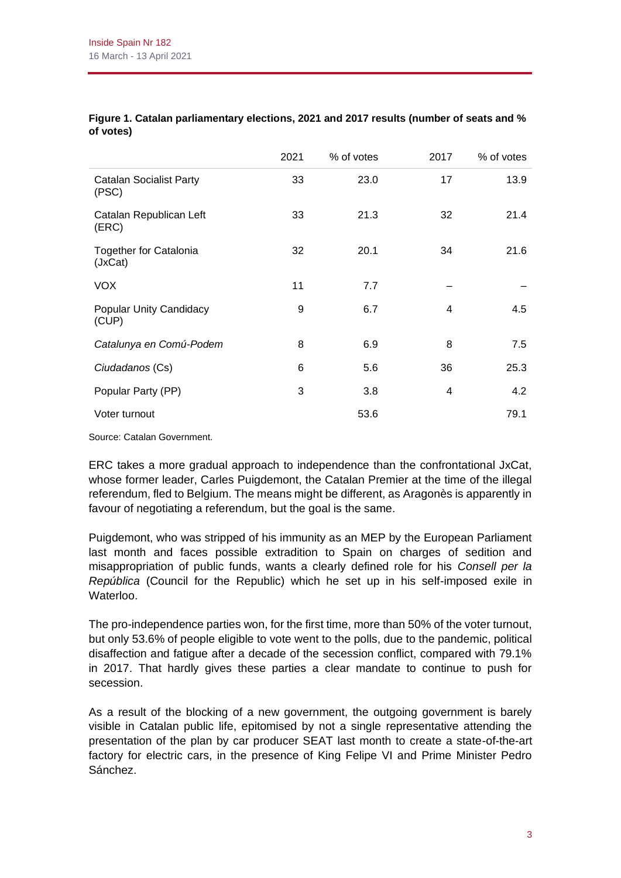|                                          | 2021 | % of votes | 2017 | % of votes |
|------------------------------------------|------|------------|------|------------|
| <b>Catalan Socialist Party</b><br>(PSC)  | 33   | 23.0       | 17   | 13.9       |
| Catalan Republican Left<br>(ERC)         | 33   | 21.3       | 32   | 21.4       |
| <b>Together for Catalonia</b><br>(JxCat) | 32   | 20.1       | 34   | 21.6       |
| <b>VOX</b>                               | 11   | 7.7        |      |            |
| <b>Popular Unity Candidacy</b><br>(CUP)  | 9    | 6.7        | 4    | 4.5        |
| Catalunya en Comú-Podem                  | 8    | 6.9        | 8    | 7.5        |
| Ciudadanos (Cs)                          | 6    | 5.6        | 36   | 25.3       |
| Popular Party (PP)                       | 3    | 3.8        | 4    | 4.2        |
| Voter turnout                            |      | 53.6       |      | 79.1       |

#### **Figure 1. Catalan parliamentary elections, 2021 and 2017 results (number of seats and % of votes)**

Source: Catalan Government.

ERC takes a more gradual approach to independence than the confrontational JxCat, whose former leader, Carles Puigdemont, the Catalan Premier at the time of the illegal referendum, fled to Belgium. The means might be different, as Aragonès is apparently in favour of negotiating a referendum, but the goal is the same.

Puigdemont, who was stripped of his immunity as an MEP by the European Parliament last month and faces possible extradition to Spain on charges of sedition and misappropriation of public funds, wants a clearly defined role for his *Consell per la República* (Council for the Republic) which he set up in his self-imposed exile in Waterloo.

The pro-independence parties won, for the first time, more than 50% of the voter turnout, but only 53.6% of people eligible to vote went to the polls, due to the pandemic, political disaffection and fatigue after a decade of the secession conflict, compared with 79.1% in 2017. That hardly gives these parties a clear mandate to continue to push for secession.

As a result of the blocking of a new government, the outgoing government is barely visible in Catalan public life, epitomised by not a single representative attending the presentation of the plan by car producer SEAT last month to create a state-of-the-art factory for electric cars, in the presence of King Felipe VI and Prime Minister Pedro Sánchez.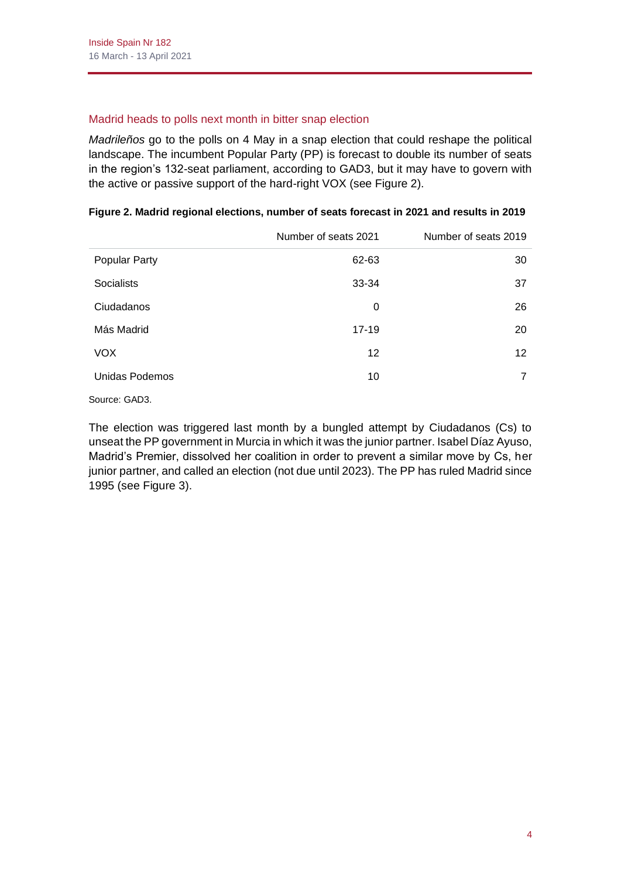## Madrid heads to polls next month in bitter snap election

*Madrileños* go to the polls on 4 May in a snap election that could reshape the political landscape. The incumbent Popular Party (PP) is forecast to double its number of seats in the region's 132-seat parliament, according to GAD3, but it may have to govern with the active or passive support of the hard-right VOX (see Figure 2).

|                      | Number of seats 2021 | Number of seats 2019 |
|----------------------|----------------------|----------------------|
| <b>Popular Party</b> | 62-63                | 30                   |
| <b>Socialists</b>    | 33-34                | 37                   |
| Ciudadanos           | 0                    | 26                   |
| Más Madrid           | $17 - 19$            | 20                   |
| <b>VOX</b>           | 12                   | 12 <sup>2</sup>      |
| Unidas Podemos       | 10                   | 7                    |
|                      |                      |                      |

#### **Figure 2. Madrid regional elections, number of seats forecast in 2021 and results in 2019**

Source: GAD3.

The election was triggered last month by a bungled attempt by Ciudadanos (Cs) to unseat the PP government in Murcia in which it was the junior partner. Isabel Díaz Ayuso, Madrid's Premier, dissolved her coalition in order to prevent a similar move by Cs, her junior partner, and called an election (not due until 2023). The PP has ruled Madrid since 1995 (see Figure 3).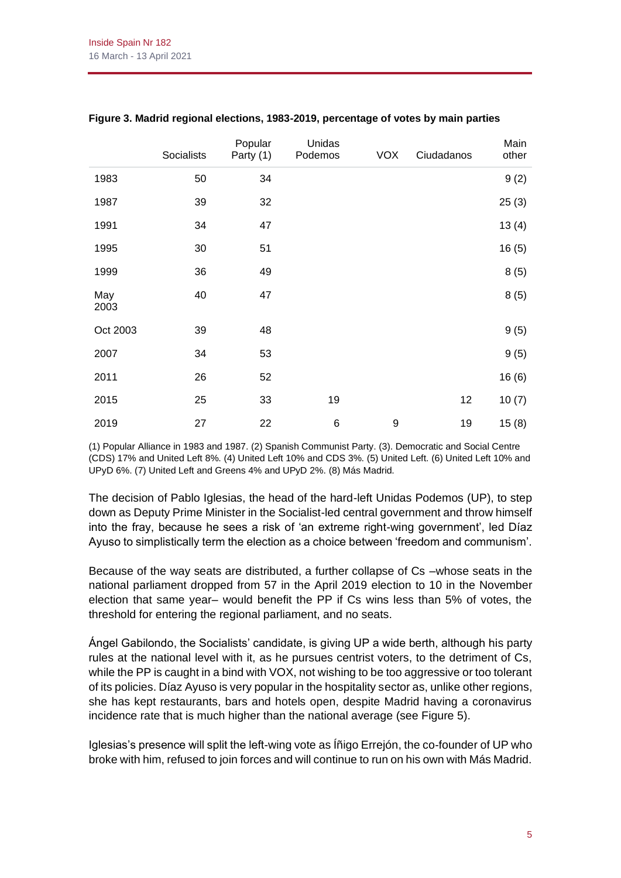|             | Socialists | Popular<br>Party (1) | Unidas<br>Podemos | <b>VOX</b> | Ciudadanos | Main<br>other |
|-------------|------------|----------------------|-------------------|------------|------------|---------------|
| 1983        | 50         | 34                   |                   |            |            | 9(2)          |
| 1987        | 39         | 32                   |                   |            |            | 25(3)         |
| 1991        | 34         | 47                   |                   |            |            | 13(4)         |
| 1995        | 30         | 51                   |                   |            |            | 16(5)         |
| 1999        | 36         | 49                   |                   |            |            | 8(5)          |
| May<br>2003 | 40         | 47                   |                   |            |            | 8(5)          |
| Oct 2003    | 39         | 48                   |                   |            |            | 9(5)          |
| 2007        | 34         | 53                   |                   |            |            | 9(5)          |
| 2011        | 26         | 52                   |                   |            |            | 16(6)         |
| 2015        | 25         | 33                   | 19                |            | 12         | 10(7)         |
| 2019        | 27         | 22                   | 6                 | 9          | 19         | 15(8)         |

#### **Figure 3. Madrid regional elections, 1983-2019, percentage of votes by main parties**

(1) Popular Alliance in 1983 and 1987. (2) Spanish Communist Party. (3). Democratic and Social Centre (CDS) 17% and United Left 8%. (4) United Left 10% and CDS 3%. (5) United Left. (6) United Left 10% and UPyD 6%. (7) United Left and Greens 4% and UPyD 2%. (8) Más Madrid.

The decision of Pablo Iglesias, the head of the hard-left Unidas Podemos (UP), to step down as Deputy Prime Minister in the Socialist-led central government and throw himself into the fray, because he sees a risk of 'an extreme right-wing government', led Díaz Ayuso to simplistically term the election as a choice between 'freedom and communism'.

Because of the way seats are distributed, a further collapse of Cs –whose seats in the national parliament dropped from 57 in the April 2019 election to 10 in the November election that same year– would benefit the PP if Cs wins less than 5% of votes, the threshold for entering the regional parliament, and no seats.

Ángel Gabilondo, the Socialists' candidate, is giving UP a wide berth, although his party rules at the national level with it, as he pursues centrist voters, to the detriment of Cs, while the PP is caught in a bind with VOX, not wishing to be too aggressive or too tolerant of its policies. Díaz Ayuso is very popular in the hospitality sector as, unlike other regions, she has kept restaurants, bars and hotels open, despite Madrid having a coronavirus incidence rate that is much higher than the national average (see Figure 5).

Iglesias's presence will split the left-wing vote as Íñigo Errejón, the co-founder of UP who broke with him, refused to join forces and will continue to run on his own with Más Madrid.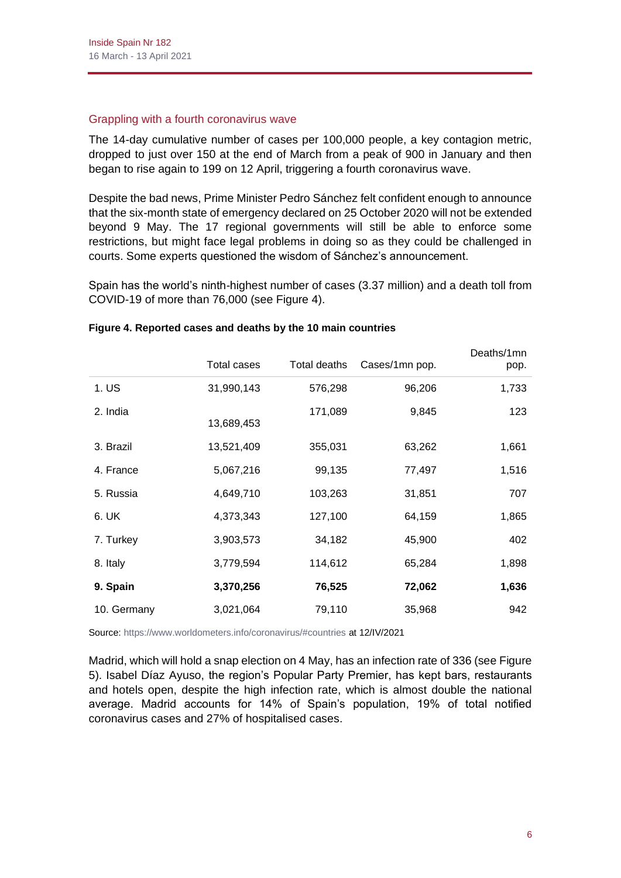#### Grappling with a fourth coronavirus wave

The 14-day cumulative number of cases per 100,000 people, a key contagion metric, dropped to just over 150 at the end of March from a peak of 900 in January and then began to rise again to 199 on 12 April, triggering a fourth coronavirus wave.

Despite the bad news, Prime Minister Pedro Sánchez felt confident enough to announce that the six-month state of emergency declared on 25 October 2020 will not be extended beyond 9 May. The 17 regional governments will still be able to enforce some restrictions, but might face legal problems in doing so as they could be challenged in courts. Some experts questioned the wisdom of Sánchez's announcement.

Spain has the world's ninth-highest number of cases (3.37 million) and a death toll from COVID-19 of more than 76,000 (see Figure 4).

|             | Total cases | Total deaths | Cases/1mn pop. | Deaths/1mn<br>pop. |
|-------------|-------------|--------------|----------------|--------------------|
| 1. US       | 31,990,143  | 576,298      | 96,206         | 1,733              |
| 2. India    | 13,689,453  | 171,089      | 9,845          | 123                |
| 3. Brazil   | 13,521,409  | 355,031      | 63,262         | 1,661              |
| 4. France   | 5,067,216   | 99,135       | 77,497         | 1,516              |
| 5. Russia   | 4,649,710   | 103,263      | 31,851         | 707                |
| 6. UK       | 4,373,343   | 127,100      | 64,159         | 1,865              |
| 7. Turkey   | 3,903,573   | 34,182       | 45,900         | 402                |
| 8. Italy    | 3,779,594   | 114,612      | 65,284         | 1,898              |
| 9. Spain    | 3,370,256   | 76,525       | 72,062         | 1,636              |
| 10. Germany | 3,021,064   | 79,110       | 35,968         | 942                |

#### **Figure 4. Reported cases and deaths by the 10 main countries**

Source[: https://www.worldometers.info/coronavirus/#countries](https://www.worldometers.info/coronavirus/#countries) at 12/IV/2021

Madrid, which will hold a snap election on 4 May, has an infection rate of 336 (see Figure 5). Isabel Díaz Ayuso, the region's Popular Party Premier, has kept bars, restaurants and hotels open, despite the high infection rate, which is almost double the national average. Madrid accounts for 14% of Spain's population, 19% of total notified coronavirus cases and 27% of hospitalised cases.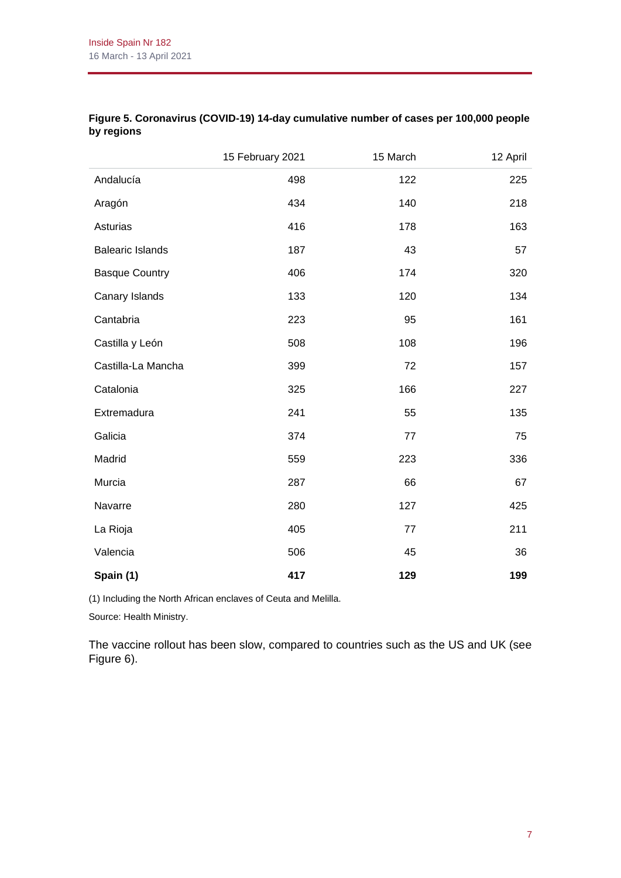|                         | 15 February 2021 | 15 March | 12 April |
|-------------------------|------------------|----------|----------|
| Andalucía               | 498              | 122      | 225      |
| Aragón                  | 434              | 140      | 218      |
| Asturias                | 416              | 178      | 163      |
| <b>Balearic Islands</b> | 187              | 43       | 57       |
| <b>Basque Country</b>   | 406              | 174      | 320      |
| Canary Islands          | 133              | 120      | 134      |
| Cantabria               | 223              | 95       | 161      |
| Castilla y León         | 508              | 108      | 196      |
| Castilla-La Mancha      | 399              | 72       | 157      |
| Catalonia               | 325              | 166      | 227      |
| Extremadura             | 241              | 55       | 135      |
| Galicia                 | 374              | 77       | 75       |
| Madrid                  | 559              | 223      | 336      |
| Murcia                  | 287              | 66       | 67       |
| Navarre                 | 280              | 127      | 425      |
| La Rioja                | 405              | 77       | 211      |
| Valencia                | 506              | 45       | 36       |
| Spain (1)               | 417              | 129      | 199      |

## **Figure 5. Coronavirus (COVID-19) 14-day cumulative number of cases per 100,000 people by regions**

(1) Including the North African enclaves of Ceuta and Melilla.

Source: Health Ministry.

The vaccine rollout has been slow, compared to countries such as the US and UK (see Figure 6).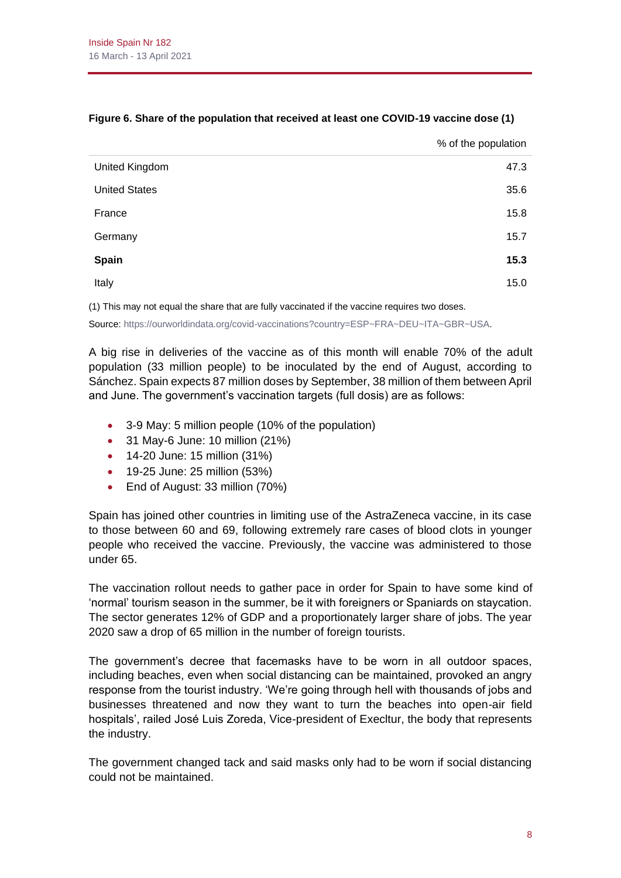|                      | % of the population |
|----------------------|---------------------|
| United Kingdom       | 47.3                |
| <b>United States</b> | 35.6                |
| France               | 15.8                |
| Germany              | 15.7                |
| <b>Spain</b>         | 15.3                |
| Italy                | 15.0                |
|                      |                     |

#### **Figure 6. Share of the population that received at least one COVID-19 vaccine dose (1)**

(1) This may not equal the share that are fully vaccinated if the vaccine requires two doses.

Source[: https://ourworldindata.org/covid-vaccinations?country=ESP~FRA~DEU~ITA~GBR~USA.](https://ourworldindata.org/covid-vaccinations?country=ESP~FRA~DEU~ITA~GBR~USA)

A big rise in deliveries of the vaccine as of this month will enable 70% of the adult population (33 million people) to be inoculated by the end of August, according to Sánchez. Spain expects 87 million doses by September, 38 million of them between April and June. The government's vaccination targets (full dosis) are as follows:

- 3-9 May: 5 million people (10% of the population)
- 31 May-6 June: 10 million (21%)
- 14-20 June: 15 million (31%)
- 19-25 June: 25 million (53%)
- End of August: 33 million (70%)

Spain has joined other countries in limiting use of the AstraZeneca vaccine, in its case to those between 60 and 69, following extremely rare cases of blood clots in younger people who received the vaccine. Previously, the vaccine was administered to those under 65.

The vaccination rollout needs to gather pace in order for Spain to have some kind of 'normal' tourism season in the summer, be it with foreigners or Spaniards on staycation. The sector generates 12% of GDP and a proportionately larger share of jobs. The year 2020 saw a drop of 65 million in the number of foreign tourists.

The government's decree that facemasks have to be worn in all outdoor spaces, including beaches, even when social distancing can be maintained, provoked an angry response from the tourist industry. 'We're going through hell with thousands of jobs and businesses threatened and now they want to turn the beaches into open-air field hospitals', railed José Luis Zoreda, Vice-president of Execltur, the body that represents the industry.

The government changed tack and said masks only had to be worn if social distancing could not be maintained.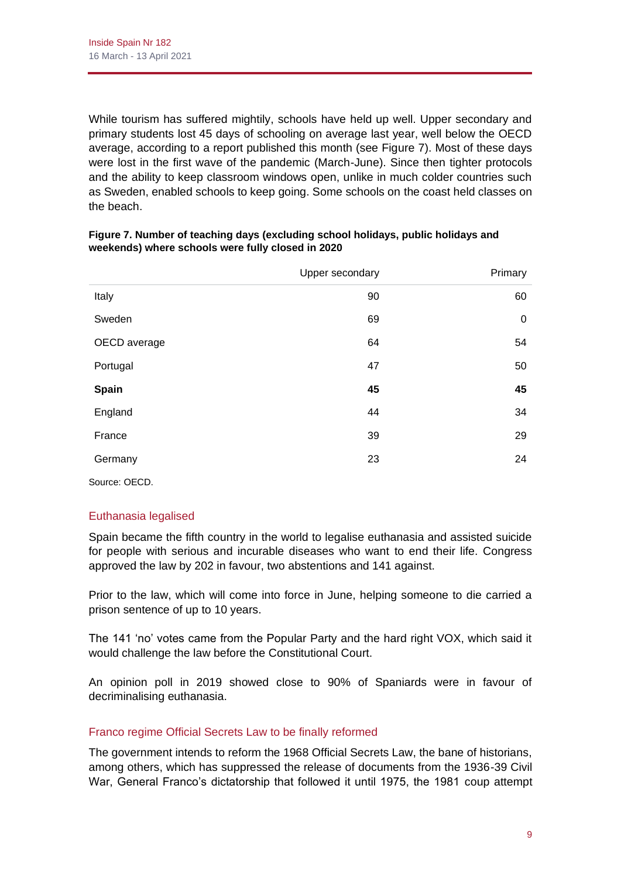While tourism has suffered mightily, schools have held up well. Upper secondary and primary students lost 45 days of schooling on average last year, well below the OECD average, according to a report published this month (see Figure 7). Most of these days were lost in the first wave of the pandemic (March-June). Since then tighter protocols and the ability to keep classroom windows open, unlike in much colder countries such as Sweden, enabled schools to keep going. Some schools on the coast held classes on the beach.

|               | Upper secondary | Primary     |
|---------------|-----------------|-------------|
| Italy         | 90              | 60          |
| Sweden        | 69              | $\mathbf 0$ |
| OECD average  | 64              | 54          |
| Portugal      | 47              | 50          |
| Spain         | 45              | 45          |
| England       | 44              | 34          |
| France        | 39              | 29          |
| Germany       | 23              | 24          |
| Source: OECD. |                 |             |

#### **Figure 7. Number of teaching days (excluding school holidays, public holidays and weekends) where schools were fully closed in 2020**

# Euthanasia legalised

Spain became the fifth country in the world to legalise euthanasia and assisted suicide for people with serious and incurable diseases who want to end their life. Congress approved the law by 202 in favour, two abstentions and 141 against.

Prior to the law, which will come into force in June, helping someone to die carried a prison sentence of up to 10 years.

The 141 'no' votes came from the Popular Party and the hard right VOX, which said it would challenge the law before the Constitutional Court.

An opinion poll in 2019 showed close to 90% of Spaniards were in favour of decriminalising euthanasia.

## Franco regime Official Secrets Law to be finally reformed

The government intends to reform the 1968 Official Secrets Law, the bane of historians, among others, which has suppressed the release of documents from the 1936-39 Civil War, General Franco's dictatorship that followed it until 1975, the 1981 coup attempt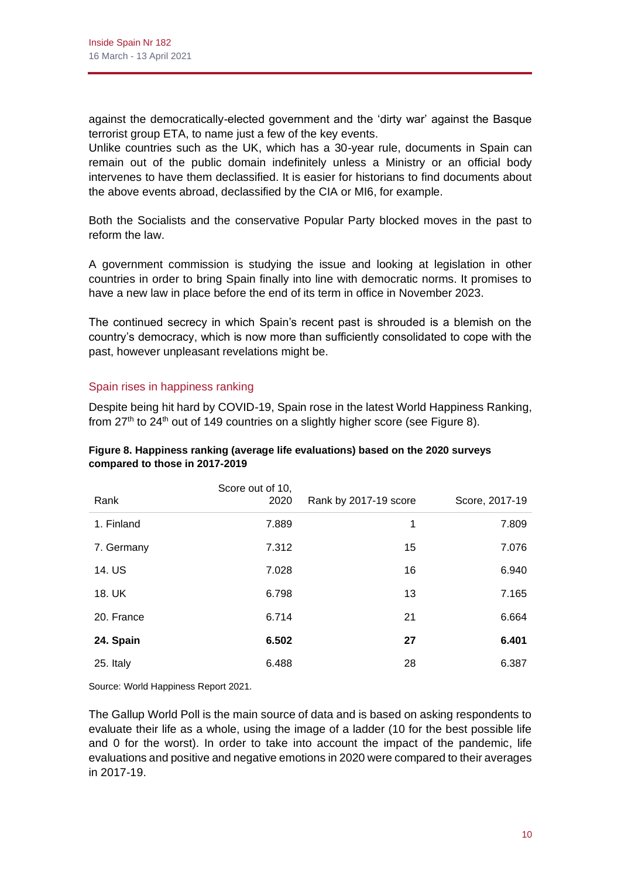against the democratically-elected government and the 'dirty war' against the Basque terrorist group ETA, to name just a few of the key events.

Unlike countries such as the UK, which has a 30-year rule, documents in Spain can remain out of the public domain indefinitely unless a Ministry or an official body intervenes to have them declassified. It is easier for historians to find documents about the above events abroad, declassified by the CIA or MI6, for example.

Both the Socialists and the conservative Popular Party blocked moves in the past to reform the law.

A government commission is studying the issue and looking at legislation in other countries in order to bring Spain finally into line with democratic norms. It promises to have a new law in place before the end of its term in office in November 2023.

The continued secrecy in which Spain's recent past is shrouded is a blemish on the country's democracy, which is now more than sufficiently consolidated to cope with the past, however unpleasant revelations might be.

## Spain rises in happiness ranking

Despite being hit hard by COVID-19, Spain rose in the latest World Happiness Ranking, from  $27<sup>th</sup>$  to  $24<sup>th</sup>$  out of 149 countries on a slightly higher score (see Figure 8).

| Figure 8. Happiness ranking (average life evaluations) based on the 2020 surveys |  |
|----------------------------------------------------------------------------------|--|
| compared to those in 2017-2019                                                   |  |
|                                                                                  |  |

| Rank       | Score out of 10,<br>2020 | Rank by 2017-19 score | Score, 2017-19 |
|------------|--------------------------|-----------------------|----------------|
| 1. Finland | 7.889                    | 1                     | 7.809          |
| 7. Germany | 7.312                    | 15                    | 7.076          |
| 14. US     | 7.028                    | 16                    | 6.940          |
| 18. UK     | 6.798                    | 13                    | 7.165          |
| 20. France | 6.714                    | 21                    | 6.664          |
| 24. Spain  | 6.502                    | 27                    | 6.401          |
| 25. Italy  | 6.488                    | 28                    | 6.387          |

Source: World Happiness Report 2021.

The Gallup World Poll is the main source of data and is based on asking respondents to evaluate their life as a whole, using the image of a ladder (10 for the best possible life and 0 for the worst). In order to take into account the impact of the pandemic, life evaluations and positive and negative emotions in 2020 were compared to their averages in 2017-19.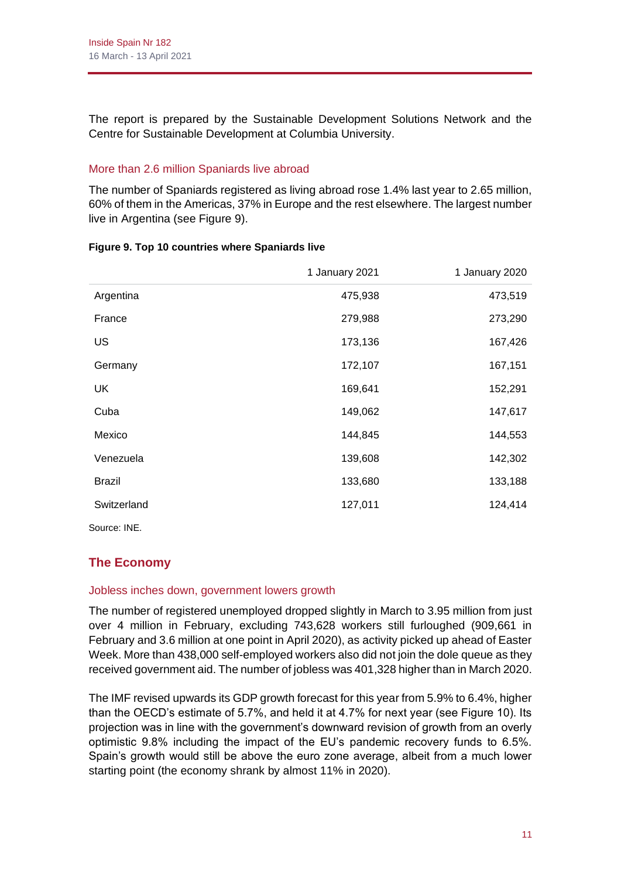The report is prepared by the Sustainable Development Solutions Network and the Centre for Sustainable Development at Columbia University.

## More than 2.6 million Spaniards live abroad

The number of Spaniards registered as living abroad rose 1.4% last year to 2.65 million, 60% of them in the Americas, 37% in Europe and the rest elsewhere. The largest number live in Argentina (see Figure 9).

|               | 1 January 2021 | 1 January 2020 |
|---------------|----------------|----------------|
| Argentina     | 475,938        | 473,519        |
| France        | 279,988        | 273,290        |
| US            | 173,136        | 167,426        |
| Germany       | 172,107        | 167,151        |
| <b>UK</b>     | 169,641        | 152,291        |
| Cuba          | 149,062        | 147,617        |
| Mexico        | 144,845        | 144,553        |
| Venezuela     | 139,608        | 142,302        |
| <b>Brazil</b> | 133,680        | 133,188        |
| Switzerland   | 127,011        | 124,414        |
| Source: INE.  |                |                |

#### **Figure 9. Top 10 countries where Spaniards live**

# **The Economy**

## Jobless inches down, government lowers growth

The number of registered unemployed dropped slightly in March to 3.95 million from just over 4 million in February, excluding 743,628 workers still furloughed (909,661 in February and 3.6 million at one point in April 2020), as activity picked up ahead of Easter Week. More than 438,000 self-employed workers also did not join the dole queue as they received government aid. The number of jobless was 401,328 higher than in March 2020.

The IMF revised upwards its GDP growth forecast for this year from 5.9% to 6.4%, higher than the OECD's estimate of 5.7%, and held it at 4.7% for next year (see Figure 10). Its projection was in line with the government's downward revision of growth from an overly optimistic 9.8% including the impact of the EU's pandemic recovery funds to 6.5%. Spain's growth would still be above the euro zone average, albeit from a much lower starting point (the economy shrank by almost 11% in 2020).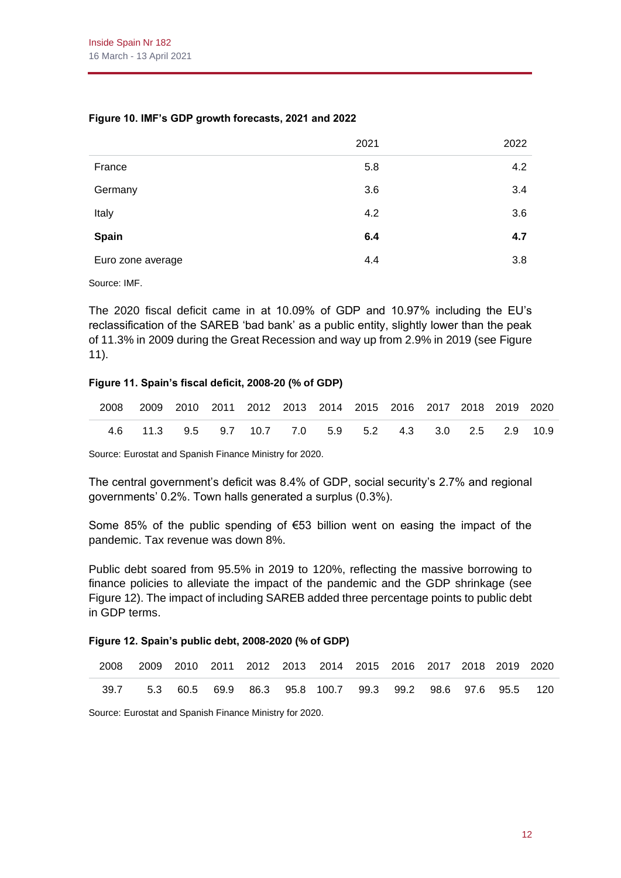**Figure 10. IMF's GDP growth forecasts, 2021 and 2022**

| France            | 5.8 | 4.2 |
|-------------------|-----|-----|
| Germany           | 3.6 | 3.4 |
| Italy             | 4.2 | 3.6 |
| <b>Spain</b>      | 6.4 | 4.7 |
| Euro zone average | 4.4 | 3.8 |

Source: IMF.

The 2020 fiscal deficit came in at 10.09% of GDP and 10.97% including the EU's reclassification of the SAREB 'bad bank' as a public entity, slightly lower than the peak of 11.3% in 2009 during the Great Recession and way up from 2.9% in 2019 (see Figure 11).

#### **Figure 11. Spain's fiscal deficit, 2008-20 (% of GDP)**

| 2008 2009 2010 2011 2012 2013 2014 2015 2016 2017 2018 2019 2020 |                                                        |  |  |  |  |  |  |
|------------------------------------------------------------------|--------------------------------------------------------|--|--|--|--|--|--|
|                                                                  | 4.6 11.3 9.5 9.7 10.7 7.0 5.9 5.2 4.3 3.0 2.5 2.9 10.9 |  |  |  |  |  |  |

Source: Eurostat and Spanish Finance Ministry for 2020.

The central government's deficit was 8.4% of GDP, social security's 2.7% and regional governments' 0.2%. Town halls generated a surplus (0.3%).

Some 85% of the public spending of €53 billion went on easing the impact of the pandemic. Tax revenue was down 8%.

Public debt soared from 95.5% in 2019 to 120%, reflecting the massive borrowing to finance policies to alleviate the impact of the pandemic and the GDP shrinkage (see Figure 12). The impact of including SAREB added three percentage points to public debt in GDP terms.

#### **Figure 12. Spain's public debt, 2008-2020 (% of GDP)**

| 2008 2009 2010 2011 2012 2013 2014 2015 2016 2017 2018 2019 2020 |  |  |  |  |  |  |
|------------------------------------------------------------------|--|--|--|--|--|--|
| 39.7 5.3 60.5 69.9 86.3 95.8 100.7 99.3 99.2 98.6 97.6 95.5 120  |  |  |  |  |  |  |

Source: Eurostat and Spanish Finance Ministry for 2020.

2022